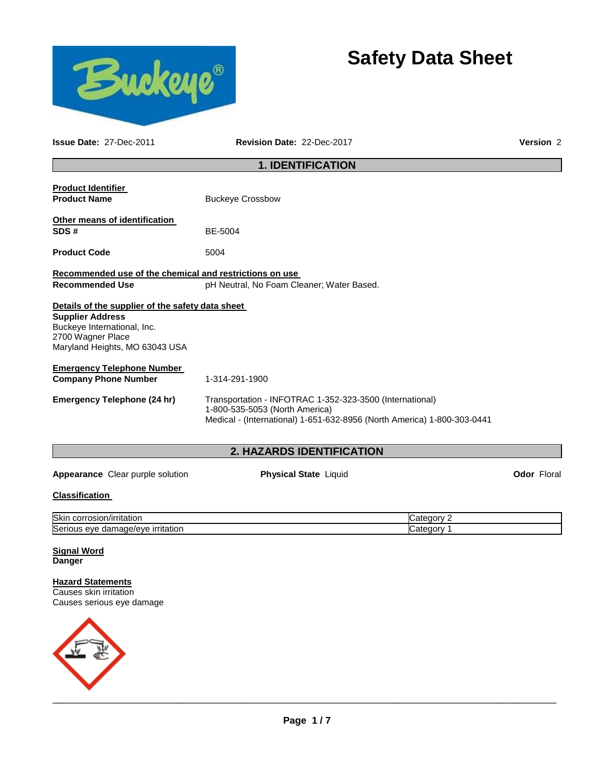

# **Safety Data Sheet**

**Issue Date:** 27-Dec-2011 **Revision Date:** 22-Dec-2017 **Version** 2

# **1. IDENTIFICATION**

| <b>Product Identifier</b><br><b>Product Name</b>                                                                                                                  | <b>Buckeye Crossbow</b>                                                                                                                                               |
|-------------------------------------------------------------------------------------------------------------------------------------------------------------------|-----------------------------------------------------------------------------------------------------------------------------------------------------------------------|
| Other means of identification<br>SDS#                                                                                                                             | BE-5004                                                                                                                                                               |
| <b>Product Code</b>                                                                                                                                               | 5004                                                                                                                                                                  |
| Recommended use of the chemical and restrictions on use                                                                                                           |                                                                                                                                                                       |
| <b>Recommended Use</b>                                                                                                                                            | pH Neutral, No Foam Cleaner; Water Based.                                                                                                                             |
| Details of the supplier of the safety data sheet<br><b>Supplier Address</b><br>Buckeye International, Inc.<br>2700 Wagner Place<br>Maryland Heights, MO 63043 USA |                                                                                                                                                                       |
| <b>Emergency Telephone Number</b><br><b>Company Phone Number</b>                                                                                                  | 1-314-291-1900                                                                                                                                                        |
| Emergency Telephone (24 hr)                                                                                                                                       | Transportation - INFOTRAC 1-352-323-3500 (International)<br>1-800-535-5053 (North America)<br>Medical - (International) 1-651-632-8956 (North America) 1-800-303-0441 |
|                                                                                                                                                                   | <b>2. HAZARDS IDENTIFICATION</b>                                                                                                                                      |

Appearance Clear purple solution **Physical State** Liquid **Constant Clear Property** Color Floral

# **Classification**

| <b>Skin</b><br>∵rritatior.<br>corrosion                       | .         |
|---------------------------------------------------------------|-----------|
| Serio<br>made/eve.<br>∍ırrıtatıor<br>eve<br>1 I C<br>uar<br>. | r v<br>uv |

#### **Signal Word Danger**

# **Hazard Statements**

Causes skin irritation Causes serious eye damage

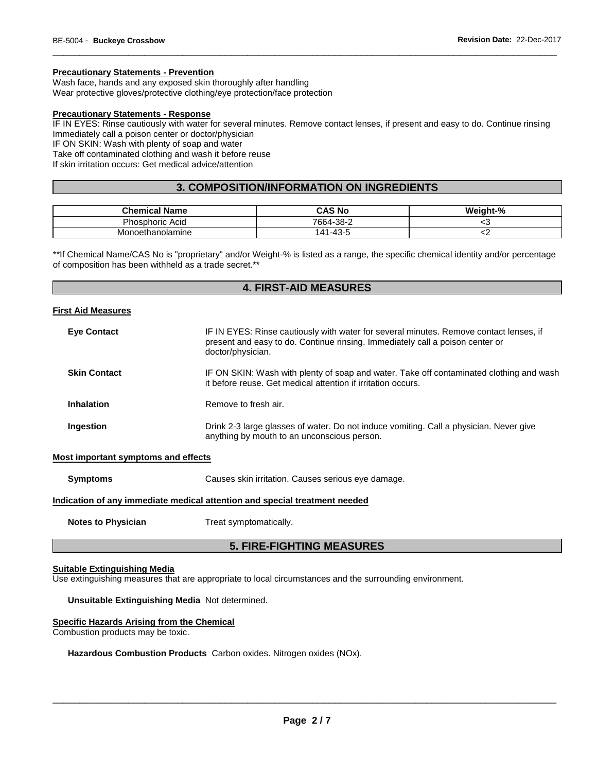# **Precautionary Statements - Prevention**

Wash face, hands and any exposed skin thoroughly after handling

Wear protective gloves/protective clothing/eye protection/face protection

# **Precautionary Statements - Response**

IF IN EYES: Rinse cautiously with water for several minutes. Remove contact lenses, if present and easy to do. Continue rinsing Immediately call a poison center or doctor/physician

\_\_\_\_\_\_\_\_\_\_\_\_\_\_\_\_\_\_\_\_\_\_\_\_\_\_\_\_\_\_\_\_\_\_\_\_\_\_\_\_\_\_\_\_\_\_\_\_\_\_\_\_\_\_\_\_\_\_\_\_\_\_\_\_\_\_\_\_\_\_\_\_\_\_\_\_\_\_\_\_\_\_\_\_\_\_\_\_\_\_\_\_\_

IF ON SKIN: Wash with plenty of soap and water

Take off contaminated clothing and wash it before reuse

If skin irritation occurs: Get medical advice/attention

# **3. COMPOSITION/INFORMATION ON INGREDIENTS**

| <b>Chemical Name</b>   | CAS No            | Weight-% |
|------------------------|-------------------|----------|
| <b>Phosphoric Acid</b> | -38-2<br>$7664 -$ | ີ        |
| Monoethanolamine       | 1-43-5<br>141     | ∽        |

\*\*If Chemical Name/CAS No is "proprietary" and/or Weight-% is listed as a range, the specific chemical identity and/or percentage of composition has been withheld as a trade secret.\*\*

# **4. FIRST-AID MEASURES**

#### **First Aid Measures**

| <b>Eye Contact</b>                  | IF IN EYES: Rinse cautiously with water for several minutes. Remove contact lenses, if<br>present and easy to do. Continue rinsing. Immediately call a poison center or<br>doctor/physician. |
|-------------------------------------|----------------------------------------------------------------------------------------------------------------------------------------------------------------------------------------------|
| <b>Skin Contact</b>                 | IF ON SKIN: Wash with plenty of soap and water. Take off contaminated clothing and wash<br>it before reuse. Get medical attention if irritation occurs.                                      |
| Inhalation                          | Remove to fresh air.                                                                                                                                                                         |
| Ingestion                           | Drink 2-3 large glasses of water. Do not induce vomiting. Call a physician. Never give<br>anything by mouth to an unconscious person.                                                        |
| Most important symptoms and effects |                                                                                                                                                                                              |
| <b>Symptoms</b>                     | Causes skin irritation. Causes serious eye damage.                                                                                                                                           |

#### **Indication of any immediate medical attention and special treatment needed**

**Notes to Physician**  Treat symptomatically.

# **5. FIRE-FIGHTING MEASURES**

#### **Suitable Extinguishing Media**

Use extinguishing measures that are appropriate to local circumstances and the surrounding environment.

# **Unsuitable Extinguishing Media** Not determined.

#### **Specific Hazards Arising from the Chemical**

Combustion products may be toxic.

**Hazardous Combustion Products** Carbon oxides. Nitrogen oxides (NOx).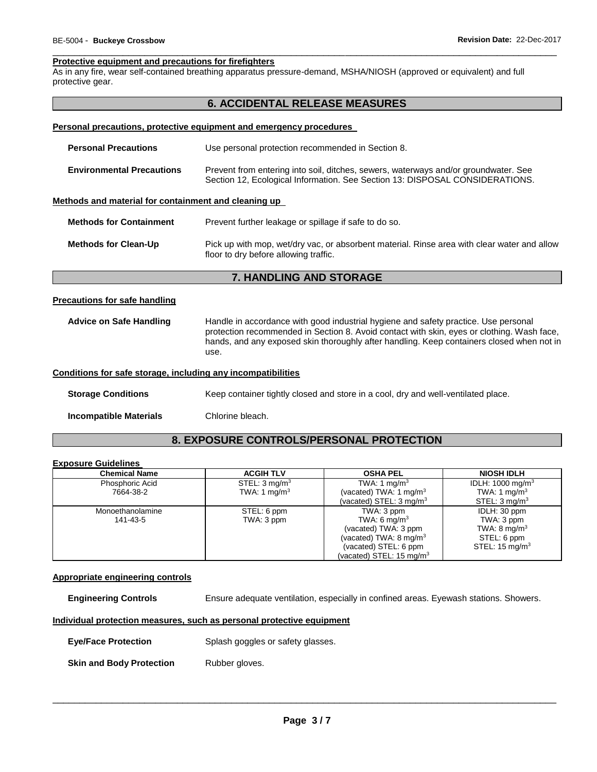#### \_\_\_\_\_\_\_\_\_\_\_\_\_\_\_\_\_\_\_\_\_\_\_\_\_\_\_\_\_\_\_\_\_\_\_\_\_\_\_\_\_\_\_\_\_\_\_\_\_\_\_\_\_\_\_\_\_\_\_\_\_\_\_\_\_\_\_\_\_\_\_\_\_\_\_\_\_\_\_\_\_\_\_\_\_\_\_\_\_\_\_\_\_ **Protective equipment and precautions for firefighters**

As in any fire, wear self-contained breathing apparatus pressure-demand, MSHA/NIOSH (approved or equivalent) and full protective gear.

# **6. ACCIDENTAL RELEASE MEASURES**

#### **Personal precautions, protective equipment and emergency procedures**

| <b>Personal Precautions</b>                          | Use personal protection recommended in Section 8.                                                                                                                   |
|------------------------------------------------------|---------------------------------------------------------------------------------------------------------------------------------------------------------------------|
| <b>Environmental Precautions</b>                     | Prevent from entering into soil, ditches, sewers, waterways and/or groundwater. See<br>Section 12, Ecological Information. See Section 13: DISPOSAL CONSIDERATIONS. |
| Methods and material for containment and cleaning up |                                                                                                                                                                     |
| <b>Methods for Containment</b>                       | Prevent further leakage or spillage if safe to do so.                                                                                                               |
| <b>Methods for Clean-Up</b>                          | Pick up with mop, wet/dry vac, or absorbent material. Rinse area with clear water and allow<br>floor to dry before allowing traffic.                                |

# **7. HANDLING AND STORAGE**

#### **Precautions for safe handling**

**Advice on Safe Handling** Handle in accordance with good industrial hygiene and safety practice. Use personal protection recommended in Section 8. Avoid contact with skin, eyes or clothing. Wash face, hands, and any exposed skin thoroughly after handling. Keep containers closed when not in use.

# **Conditions for safe storage, including any incompatibilities**

**Storage Conditions Keep container tightly closed and store in a cool, dry and well-ventilated place.** 

**Incompatible Materials** Chlorine bleach.

# **8. EXPOSURE CONTROLS/PERSONAL PROTECTION**

#### **Exposure Guidelines**

| <b>Chemical Name</b> | <b>ACGIH TLV</b>         | <b>OSHA PEL</b>                     | <b>NIOSH IDLH</b>           |
|----------------------|--------------------------|-------------------------------------|-----------------------------|
| Phosphoric Acid      | STEL: $3 \text{mq/m}^3$  | TWA: 1 mg/m <sup>3</sup>            | IDLH: $1000 \text{ mg/m}^3$ |
| 7664-38-2            | TWA: 1 mg/m <sup>3</sup> | (vacated) TWA: 1 mg/m <sup>3</sup>  | TWA: 1 mg/m <sup>3</sup>    |
|                      |                          | (vacated) STEL: $3 \text{ mg/m}^3$  | STEL: $3 \text{ mq/m}^3$    |
| Monoethanolamine     | STEL: 6 ppm              | TWA: 3 ppm                          | IDLH: 30 ppm                |
| 141-43-5             | TWA: 3 ppm               | TWA: 6 mg/m <sup>3</sup>            | TWA: 3 ppm                  |
|                      |                          | (vacated) TWA: 3 ppm                | TWA: $8 \text{ mg/m}^3$     |
|                      |                          | (vacated) TWA: $8 \text{ mg/m}^3$   | STEL: 6 ppm                 |
|                      |                          | (vacated) STEL: 6 ppm               | STEL: $15 \text{ mg/m}^3$   |
|                      |                          | (vacated) STEL: $15 \text{ mg/m}^3$ |                             |

#### **Appropriate engineering controls**

**Engineering Controls** Ensure adequate ventilation, especially in confined areas. Eyewash stations. Showers.

#### **Individual protection measures, such as personal protective equipment**

**Skin and Body Protection** Rubber gloves.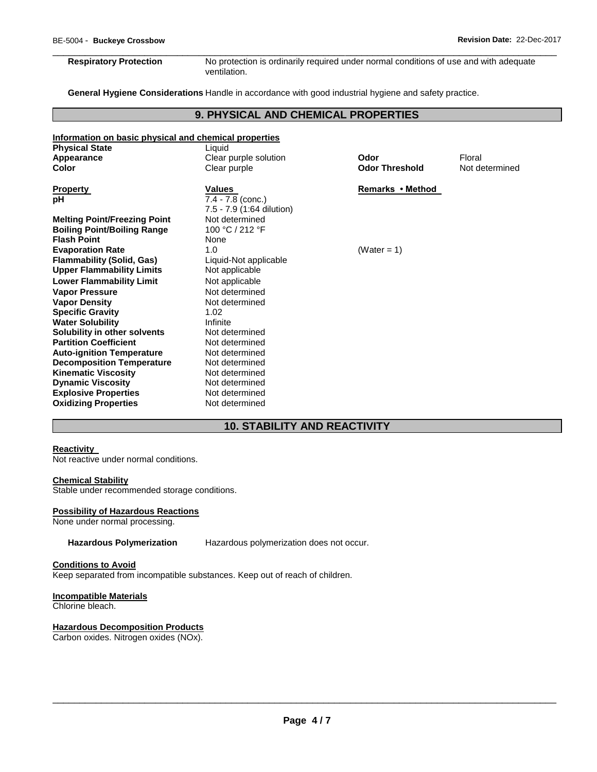\_\_\_\_\_\_\_\_\_\_\_\_\_\_\_\_\_\_\_\_\_\_\_\_\_\_\_\_\_\_\_\_\_\_\_\_\_\_\_\_\_\_\_\_\_\_\_\_\_\_\_\_\_\_\_\_\_\_\_\_\_\_\_\_\_\_\_\_\_\_\_\_\_\_\_\_\_\_\_\_\_\_\_\_\_\_\_\_\_\_\_\_\_ **Respiratory Protection** No protection is ordinarily required under normal conditions of use and with adequate ventilation.

**General Hygiene Considerations** Handle in accordance with good industrial hygiene and safety practice.

# **9. PHYSICAL AND CHEMICAL PROPERTIES**

| Information on basic physical and chemical properties |                           |                       |                |
|-------------------------------------------------------|---------------------------|-----------------------|----------------|
| <b>Physical State</b>                                 | Liquid                    |                       |                |
| Appearance                                            | Clear purple solution     | Odor                  | Floral         |
| Color                                                 | Clear purple              | <b>Odor Threshold</b> | Not determined |
| <b>Property</b>                                       | Values                    | Remarks • Method      |                |
| рH                                                    | 7.4 - 7.8 (conc.)         |                       |                |
|                                                       | 7.5 - 7.9 (1:64 dilution) |                       |                |
| <b>Melting Point/Freezing Point</b>                   | Not determined            |                       |                |
| <b>Boiling Point/Boiling Range</b>                    | 100 °C / 212 °F           |                       |                |
| <b>Flash Point</b>                                    | None                      |                       |                |
| <b>Evaporation Rate</b>                               | 1.0                       | (Water = 1)           |                |
| <b>Flammability (Solid, Gas)</b>                      | Liquid-Not applicable     |                       |                |
| <b>Upper Flammability Limits</b>                      | Not applicable            |                       |                |
| <b>Lower Flammability Limit</b>                       | Not applicable            |                       |                |
| <b>Vapor Pressure</b>                                 | Not determined            |                       |                |
| <b>Vapor Density</b>                                  | Not determined            |                       |                |
| <b>Specific Gravity</b>                               | 1.02                      |                       |                |
| <b>Water Solubility</b>                               | Infinite                  |                       |                |
| Solubility in other solvents                          | Not determined            |                       |                |
| <b>Partition Coefficient</b>                          | Not determined            |                       |                |
| <b>Auto-ignition Temperature</b>                      | Not determined            |                       |                |
| <b>Decomposition Temperature</b>                      | Not determined            |                       |                |
| <b>Kinematic Viscosity</b>                            | Not determined            |                       |                |
| <b>Dynamic Viscosity</b>                              | Not determined            |                       |                |
| <b>Explosive Properties</b>                           | Not determined            |                       |                |
| <b>Oxidizing Properties</b>                           | Not determined            |                       |                |

# **10. STABILITY AND REACTIVITY**

#### **Reactivity**

Not reactive under normal conditions.

# **Chemical Stability**

Stable under recommended storage conditions.

#### **Possibility of Hazardous Reactions**

None under normal processing.

**Hazardous Polymerization** Hazardous polymerization does not occur.

# **Conditions to Avoid**

Keep separated from incompatible substances. Keep out of reach of children.

# **Incompatible Materials**

Chlorine bleach.

# **Hazardous Decomposition Products**

Carbon oxides. Nitrogen oxides (NOx).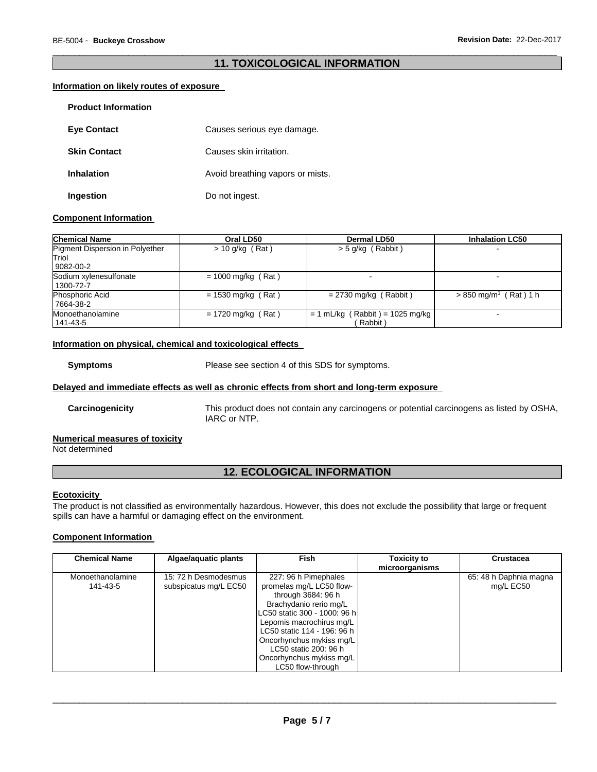# \_\_\_\_\_\_\_\_\_\_\_\_\_\_\_\_\_\_\_\_\_\_\_\_\_\_\_\_\_\_\_\_\_\_\_\_\_\_\_\_\_\_\_\_\_\_\_\_\_\_\_\_\_\_\_\_\_\_\_\_\_\_\_\_\_\_\_\_\_\_\_\_\_\_\_\_\_\_\_\_\_\_\_\_\_\_\_\_\_\_\_\_\_ **11. TOXICOLOGICAL INFORMATION**

# **Information on likely routes of exposure**

| <b>Product Information</b> |                                  |
|----------------------------|----------------------------------|
| <b>Eye Contact</b>         | Causes serious eye damage.       |
| <b>Skin Contact</b>        | Causes skin irritation.          |
| <b>Inhalation</b>          | Avoid breathing vapors or mists. |
| Ingestion                  | Do not ingest.                   |

# **Component Information**

| <b>Chemical Name</b>                   | Oral LD50            | Dermal LD50                       | <b>Inhalation LC50</b>              |
|----------------------------------------|----------------------|-----------------------------------|-------------------------------------|
| <b>Pigment Dispersion in Polyether</b> | $> 10$ g/kg (Rat)    | $>$ 5 g/kg (Rabbit)               |                                     |
| Triol                                  |                      |                                   |                                     |
| 9082-00-2                              |                      |                                   |                                     |
| Sodium xylenesulfonate                 | $= 1000$ mg/kg (Rat) |                                   | -                                   |
| 1300-72-7                              |                      |                                   |                                     |
| Phosphoric Acid                        | $= 1530$ mg/kg (Rat) | $= 2730$ mg/kg (Rabbit)           | $> 850$ mg/m <sup>3</sup> (Rat) 1 h |
| 7664-38-2                              |                      |                                   |                                     |
| Monoethanolamine                       | $= 1720$ mg/kg (Rat) | $= 1$ mL/kg (Rabbit) = 1025 mg/kg | -                                   |
| 141-43-5                               |                      | Rabbit)                           |                                     |

# **Information on physical, chemical and toxicological effects**

**Symptoms** Please see section 4 of this SDS for symptoms.

# **Delayed and immediate effects as well as chronic effects from short and long-term exposure**

**Carcinogenicity** This product does not contain any carcinogens or potential carcinogens as listed by OSHA, IARC or NTP.

# **Numerical measures of toxicity**

Not determined

# **12. ECOLOGICAL INFORMATION**

# **Ecotoxicity**

The product is not classified as environmentally hazardous. However, this does not exclude the possibility that large or frequent spills can have a harmful or damaging effect on the environment.

# **Component Information**

| <b>Chemical Name</b>         | Algae/aquatic plants                          | <b>Fish</b>                                                                                                                                                                                                                                                                                       | <b>Toxicity to</b><br>microorganisms | <b>Crustacea</b>                    |
|------------------------------|-----------------------------------------------|---------------------------------------------------------------------------------------------------------------------------------------------------------------------------------------------------------------------------------------------------------------------------------------------------|--------------------------------------|-------------------------------------|
| Monoethanolamine<br>141-43-5 | 15: 72 h Desmodesmus<br>subspicatus mg/L EC50 | 227: 96 h Pimephales<br>promelas mg/L LC50 flow-<br>through 3684: 96 h<br>Brachydanio rerio mg/L<br>LC50 static 300 - 1000: 96 h<br>Lepomis macrochirus mg/L<br>LC50 static 114 - 196: 96 h<br>Oncorhynchus mykiss mg/L<br>LC50 static 200: 96 h<br>Oncorhynchus mykiss mg/L<br>LC50 flow-through |                                      | 65: 48 h Daphnia magna<br>mg/L EC50 |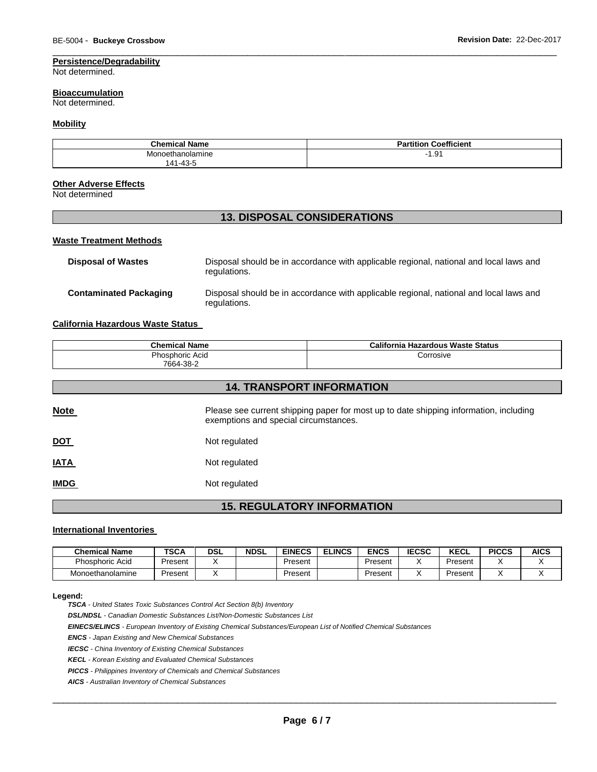# **Persistence/Degradability**

Not determined.

#### **Bioaccumulation**

Not determined.

# **Mobility**

| <b>Chemical Name</b>                    | <b>Partition Coefficient</b> |
|-----------------------------------------|------------------------------|
| Monoethanolamine<br>$1 - 43 - 5$<br>141 | 1.91                         |

\_\_\_\_\_\_\_\_\_\_\_\_\_\_\_\_\_\_\_\_\_\_\_\_\_\_\_\_\_\_\_\_\_\_\_\_\_\_\_\_\_\_\_\_\_\_\_\_\_\_\_\_\_\_\_\_\_\_\_\_\_\_\_\_\_\_\_\_\_\_\_\_\_\_\_\_\_\_\_\_\_\_\_\_\_\_\_\_\_\_\_\_\_

#### **Other Adverse Effects**

Not determined

# **13. DISPOSAL CONSIDERATIONS**

# **Waste Treatment Methods**

| <b>Disposal of Wastes</b>     | Disposal should be in accordance with applicable regional, national and local laws and<br>regulations. |
|-------------------------------|--------------------------------------------------------------------------------------------------------|
| <b>Contaminated Packaging</b> | Disposal should be in accordance with applicable regional, national and local laws and<br>regulations. |

#### **California Hazardous Waste Status**

| <b>Chemical Name</b> | California Hazardous Waste Status |
|----------------------|-----------------------------------|
| Phosphoric Acid      | Corrosive                         |
| 7664-38-2            |                                   |

| <b>14. TRANSPORT INFORMATION</b> |                                                                                                                                |  |  |  |
|----------------------------------|--------------------------------------------------------------------------------------------------------------------------------|--|--|--|
| <b>Note</b>                      | Please see current shipping paper for most up to date shipping information, including<br>exemptions and special circumstances. |  |  |  |
| <b>DOT</b>                       | Not regulated                                                                                                                  |  |  |  |
| <b>IATA</b>                      | Not regulated                                                                                                                  |  |  |  |
| <b>IMDG</b>                      | Not regulated                                                                                                                  |  |  |  |

# **15. REGULATORY INFORMATION**

#### **International Inventories**

| <b>Chemical Name</b>   | TSCA    | <b>DSL</b> | <b>NDSL</b> | <b>EINECS</b> | <b>ELINCS</b> | <b>ENCS</b> | <b>IECSC</b> | KECL    | <b>PICCS</b> | <b>AICS</b> |
|------------------------|---------|------------|-------------|---------------|---------------|-------------|--------------|---------|--------------|-------------|
| <b>Phosphoric Acid</b> | Present |            |             | Present       |               | Present     |              | Present |              |             |
| Monoethanolamine       | Present |            |             | Present       |               | Present     |              | Present |              |             |

#### **Legend:**

*TSCA - United States Toxic Substances Control Act Section 8(b) Inventory* 

*DSL/NDSL - Canadian Domestic Substances List/Non-Domestic Substances List* 

*EINECS/ELINCS - European Inventory of Existing Chemical Substances/European List of Notified Chemical Substances* 

*ENCS - Japan Existing and New Chemical Substances* 

*IECSC - China Inventory of Existing Chemical Substances* 

*KECL - Korean Existing and Evaluated Chemical Substances* 

*PICCS - Philippines Inventory of Chemicals and Chemical Substances* 

*AICS - Australian Inventory of Chemical Substances*